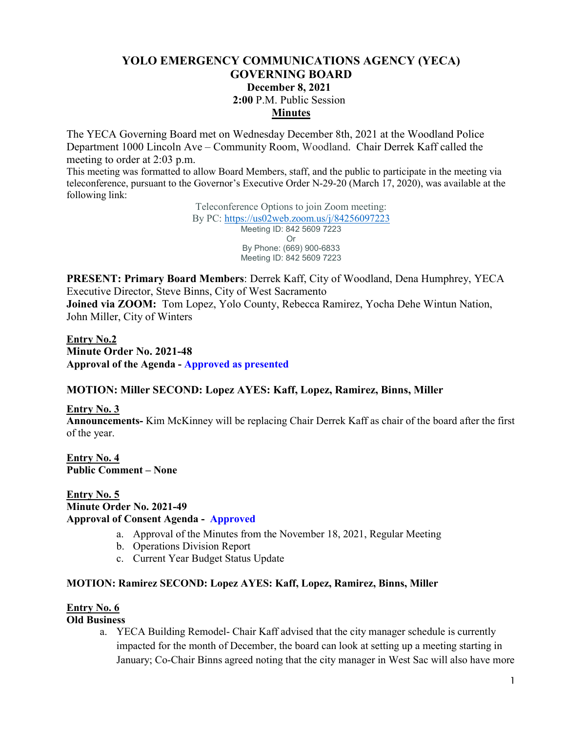# **YOLO EMERGENCY COMMUNICATIONS AGENCY (YECA) GOVERNING BOARD December 8, 2021 2:00** P.M. Public Session **Minutes**

The YECA Governing Board met on Wednesday December 8th, 2021 at the Woodland Police Department 1000 Lincoln Ave – Community Room, Woodland. Chair Derrek Kaff called the meeting to order at 2:03 p.m.

This meeting was formatted to allow Board Members, staff, and the public to participate in the meeting via teleconference, pursuant to the Governor's Executive Order N-29-20 (March 17, 2020), was available at the following link:

> Teleconference Options to join Zoom meeting: By PC:<https://us02web.zoom.us/j/84256097223> Meeting ID: 842 5609 7223 Or By Phone: (669) 900-6833 Meeting ID: 842 5609 7223

**PRESENT: Primary Board Members**: Derrek Kaff, City of Woodland, Dena Humphrey, YECA Executive Director, Steve Binns, City of West Sacramento

**Joined via ZOOM:** Tom Lopez, Yolo County, Rebecca Ramirez, Yocha Dehe Wintun Nation, John Miller, City of Winters

**Entry No.2 Minute Order No. 2021-48 Approval of the Agenda - Approved as presented**

## **MOTION: Miller SECOND: Lopez AYES: Kaff, Lopez, Ramirez, Binns, Miller**

**Entry No. 3**

**Announcements-** Kim McKinney will be replacing Chair Derrek Kaff as chair of the board after the first of the year.

**Entry No. 4 Public Comment – None**

# **Entry No. 5 Minute Order No. 2021-49 Approval of Consent Agenda - Approved**

- a. Approval of the Minutes from the November 18, 2021, Regular Meeting
- b. Operations Division Report
- c. Current Year Budget Status Update

## **MOTION: Ramirez SECOND: Lopez AYES: Kaff, Lopez, Ramirez, Binns, Miller**

## **Entry No. 6**

#### **Old Business**

a. YECA Building Remodel- Chair Kaff advised that the city manager schedule is currently impacted for the month of December, the board can look at setting up a meeting starting in January; Co-Chair Binns agreed noting that the city manager in West Sac will also have more